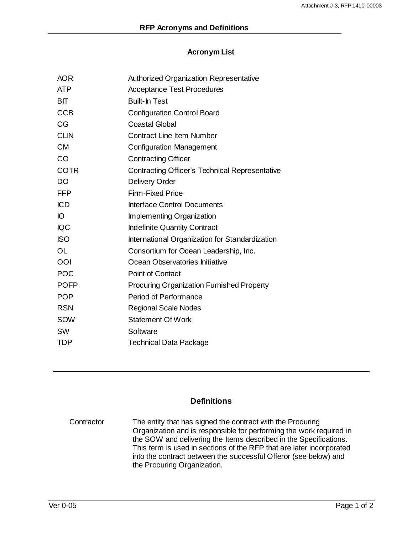## **Acronym List**

| <b>AOR</b>  | <b>Authorized Organization Representative</b>         |
|-------------|-------------------------------------------------------|
| <b>ATP</b>  | <b>Acceptance Test Procedures</b>                     |
| <b>BIT</b>  | <b>Built-In Test</b>                                  |
| <b>CCB</b>  | <b>Configuration Control Board</b>                    |
| CG          | <b>Coastal Global</b>                                 |
| <b>CLIN</b> | <b>Contract Line Item Number</b>                      |
| <b>CM</b>   | <b>Configuration Management</b>                       |
| CO          | <b>Contracting Officer</b>                            |
| <b>COTR</b> | <b>Contracting Officer's Technical Representative</b> |
| <b>DO</b>   | <b>Delivery Order</b>                                 |
| <b>FFP</b>  | <b>Firm-Fixed Price</b>                               |
| <b>ICD</b>  | <b>Interface Control Documents</b>                    |
| IO          | Implementing Organization                             |
| <b>IQC</b>  | <b>Indefinite Quantity Contract</b>                   |
| <b>ISO</b>  | International Organization for Standardization        |
| <b>OL</b>   | Consortium for Ocean Leadership, Inc.                 |
| OOI         | Ocean Observatories Initiative                        |
| <b>POC</b>  | <b>Point of Contact</b>                               |
| <b>POFP</b> | <b>Procuring Organization Furnished Property</b>      |
| <b>POP</b>  | <b>Period of Performance</b>                          |
| <b>RSN</b>  | <b>Regional Scale Nodes</b>                           |
| SOW         | <b>Statement Of Work</b>                              |
| <b>SW</b>   | Software                                              |
| <b>TDP</b>  | <b>Technical Data Package</b>                         |
|             |                                                       |

## **Definitions**

Contractor The entity that has signed the contract with the Procuring Organization and is responsible for performing the work required in the SOW and delivering the Items described in the Specifications. This term is used in sections of the RFP that are later incorporated into the contract between the successful Offeror (see below) and the Procuring Organization.